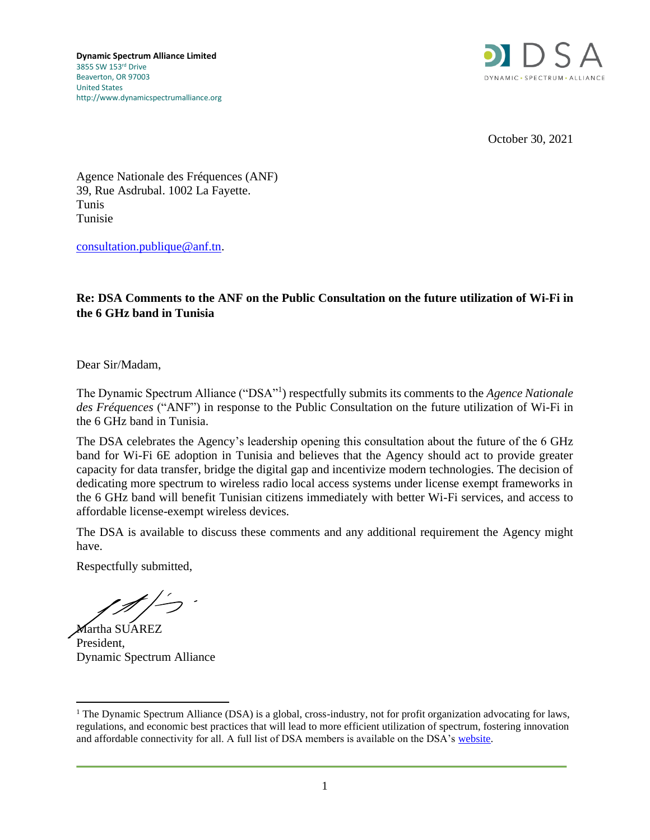

October 30, 2021

Agence Nationale des Fréquences (ANF) 39, Rue Asdrubal. 1002 La Fayette. Tunis Tunisie

[consultation.publique@anf.tn.](mailto:consultation.publique@anf.tn)

#### **Re: DSA Comments to the ANF on the Public Consultation on the future utilization of Wi-Fi in the 6 GHz band in Tunisia**

Dear Sir/Madam,

The Dynamic Spectrum Alliance ("DSA"<sup>1</sup>) respectfully submits its comments to the *Agence Nationale des Fréquences* ("ANF") in response to the Public Consultation on the future utilization of Wi-Fi in the 6 GHz band in Tunisia.

The DSA celebrates the Agency's leadership opening this consultation about the future of the 6 GHz band for Wi-Fi 6E adoption in Tunisia and believes that the Agency should act to provide greater capacity for data transfer, bridge the digital gap and incentivize modern technologies. The decision of dedicating more spectrum to wireless radio local access systems under license exempt frameworks in the 6 GHz band will benefit Tunisian citizens immediately with better Wi-Fi services, and access to affordable license-exempt wireless devices.

The DSA is available to discuss these comments and any additional requirement the Agency might have.

Respectfully submitted,

Martha SUAREZ President, Dynamic Spectrum Alliance

<sup>&</sup>lt;sup>1</sup> The Dynamic Spectrum Alliance (DSA) is a global, cross-industry, not for profit organization advocating for laws, regulations, and economic best practices that will lead to more efficient utilization of spectrum, fostering innovation and affordable connectivity for all. A full list of DSA members is available on the DSA's [website.](http://www.dynamicspectrumalliance.org/members)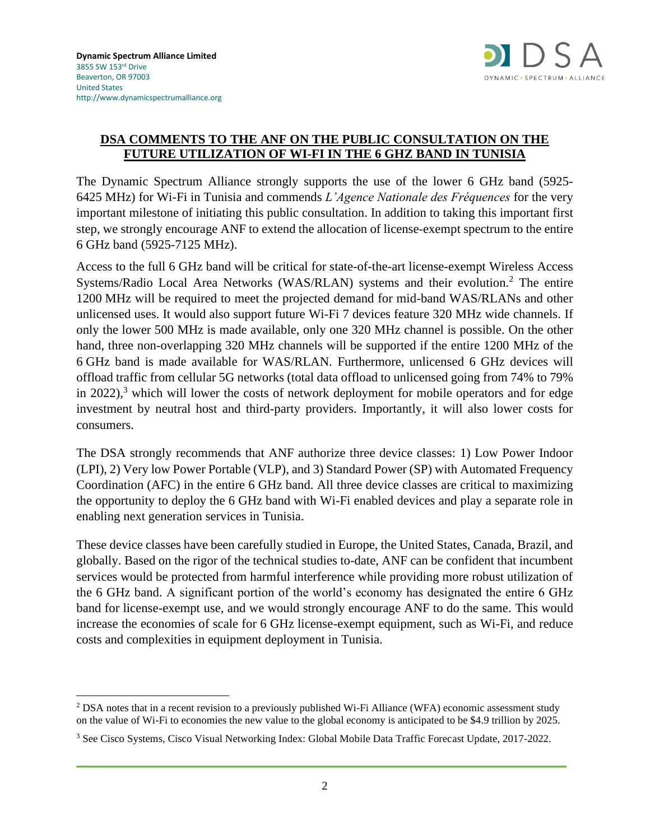

#### **DSA COMMENTS TO THE ANF ON THE PUBLIC CONSULTATION ON THE FUTURE UTILIZATION OF WI-FI IN THE 6 GHZ BAND IN TUNISIA**

The Dynamic Spectrum Alliance strongly supports the use of the lower 6 GHz band (5925- 6425 MHz) for Wi-Fi in Tunisia and commends *L'Agence Nationale des Fréquences* for the very important milestone of initiating this public consultation. In addition to taking this important first step, we strongly encourage ANF to extend the allocation of license-exempt spectrum to the entire 6 GHz band (5925-7125 MHz).

Access to the full 6 GHz band will be critical for state-of-the-art license-exempt Wireless Access Systems/Radio Local Area Networks (WAS/RLAN) systems and their evolution.<sup>2</sup> The entire 1200 MHz will be required to meet the projected demand for mid-band WAS/RLANs and other unlicensed uses. It would also support future Wi-Fi 7 devices feature 320 MHz wide channels. If only the lower 500 MHz is made available, only one 320 MHz channel is possible. On the other hand, three non-overlapping 320 MHz channels will be supported if the entire 1200 MHz of the 6 GHz band is made available for WAS/RLAN. Furthermore, unlicensed 6 GHz devices will offload traffic from cellular 5G networks (total data offload to unlicensed going from 74% to 79% in 2022),<sup>3</sup> which will lower the costs of network deployment for mobile operators and for edge investment by neutral host and third-party providers. Importantly, it will also lower costs for consumers.

The DSA strongly recommends that ANF authorize three device classes: 1) Low Power Indoor (LPI), 2) Very low Power Portable (VLP), and 3) Standard Power (SP) with Automated Frequency Coordination (AFC) in the entire 6 GHz band. All three device classes are critical to maximizing the opportunity to deploy the 6 GHz band with Wi-Fi enabled devices and play a separate role in enabling next generation services in Tunisia.

These device classes have been carefully studied in Europe, the United States, Canada, Brazil, and globally. Based on the rigor of the technical studies to-date, ANF can be confident that incumbent services would be protected from harmful interference while providing more robust utilization of the 6 GHz band. A significant portion of the world's economy has designated the entire 6 GHz band for license-exempt use, and we would strongly encourage ANF to do the same. This would increase the economies of scale for 6 GHz license-exempt equipment, such as Wi-Fi, and reduce costs and complexities in equipment deployment in Tunisia.

<sup>&</sup>lt;sup>2</sup> DSA notes that in a recent revision to a previously published Wi-Fi Alliance (WFA) economic assessment study on the value of Wi-Fi to economies the new value to the global economy is anticipated to be \$4.9 trillion by 2025.

<sup>3</sup> See Cisco Systems, Cisco Visual Networking Index: Global Mobile Data Traffic Forecast Update, 2017-2022.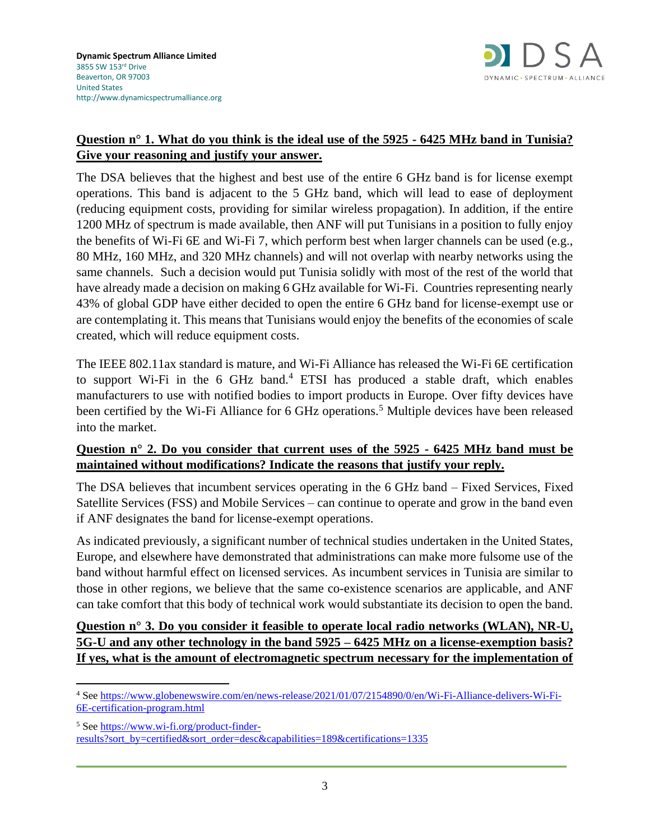

# **Question n° 1. What do you think is the ideal use of the 5925 - 6425 MHz band in Tunisia? Give your reasoning and justify your answer.**

The DSA believes that the highest and best use of the entire 6 GHz band is for license exempt operations. This band is adjacent to the 5 GHz band, which will lead to ease of deployment (reducing equipment costs, providing for similar wireless propagation). In addition, if the entire 1200 MHz of spectrum is made available, then ANF will put Tunisians in a position to fully enjoy the benefits of Wi-Fi 6E and Wi-Fi 7, which perform best when larger channels can be used (e.g., 80 MHz, 160 MHz, and 320 MHz channels) and will not overlap with nearby networks using the same channels. Such a decision would put Tunisia solidly with most of the rest of the world that have already made a decision on making 6 GHz available for Wi-Fi. Countries representing nearly 43% of global GDP have either decided to open the entire 6 GHz band for license-exempt use or are contemplating it. This means that Tunisians would enjoy the benefits of the economies of scale created, which will reduce equipment costs.

The IEEE 802.11ax standard is mature, and Wi-Fi Alliance has released the Wi-Fi 6E certification to support Wi-Fi in the  $6$  GHz band.<sup>4</sup> ETSI has produced a stable draft, which enables manufacturers to use with notified bodies to import products in Europe. Over fifty devices have been certified by the Wi-Fi Alliance for 6 GHz operations.<sup>5</sup> Multiple devices have been released into the market.

### **Question n° 2. Do you consider that current uses of the 5925 - 6425 MHz band must be maintained without modifications? Indicate the reasons that justify your reply.**

The DSA believes that incumbent services operating in the 6 GHz band – Fixed Services, Fixed Satellite Services (FSS) and Mobile Services – can continue to operate and grow in the band even if ANF designates the band for license-exempt operations.

As indicated previously, a significant number of technical studies undertaken in the United States, Europe, and elsewhere have demonstrated that administrations can make more fulsome use of the band without harmful effect on licensed services. As incumbent services in Tunisia are similar to those in other regions, we believe that the same co-existence scenarios are applicable, and ANF can take comfort that this body of technical work would substantiate its decision to open the band.

**Question n° 3. Do you consider it feasible to operate local radio networks (WLAN), NR-U, 5G-U and any other technology in the band 5925 – 6425 MHz on a license-exemption basis? If yes, what is the amount of electromagnetic spectrum necessary for the implementation of** 

<sup>4</sup> Se[e https://www.globenewswire.com/en/news-release/2021/01/07/2154890/0/en/Wi-Fi-Alliance-delivers-Wi-Fi-](https://www.globenewswire.com/en/news-release/2021/01/07/2154890/0/en/Wi-Fi-Alliance-delivers-Wi-Fi-6E-certification-program.html)[6E-certification-program.html](https://www.globenewswire.com/en/news-release/2021/01/07/2154890/0/en/Wi-Fi-Alliance-delivers-Wi-Fi-6E-certification-program.html)

<sup>5</sup> Se[e https://www.wi-fi.org/product-finder](https://www.wi-fi.org/product-finder-results?sort_by=certified&sort_order=desc&capabilities=189&certifications=1335)[results?sort\\_by=certified&sort\\_order=desc&capabilities=189&certifications=1335](https://www.wi-fi.org/product-finder-results?sort_by=certified&sort_order=desc&capabilities=189&certifications=1335)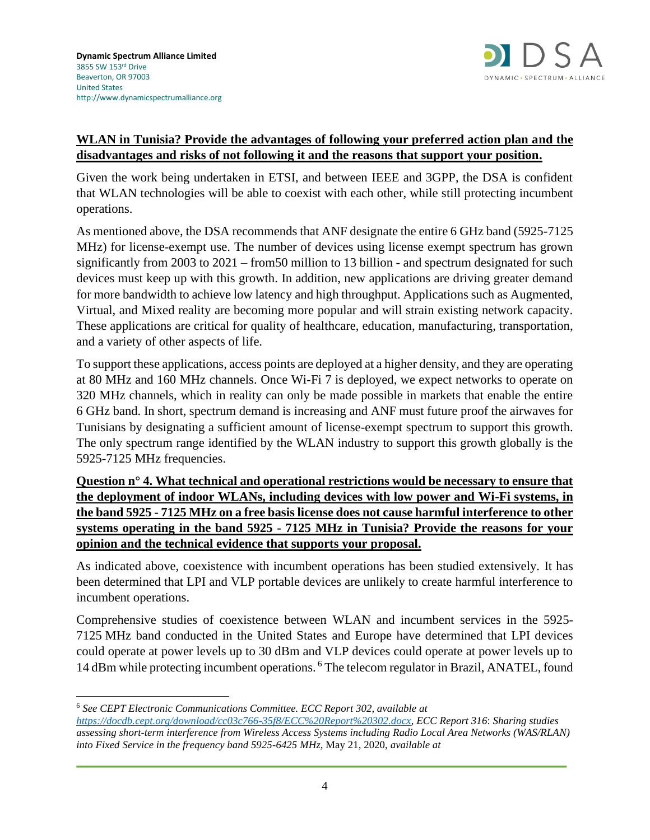

## **WLAN in Tunisia? Provide the advantages of following your preferred action plan and the disadvantages and risks of not following it and the reasons that support your position.**

Given the work being undertaken in ETSI, and between IEEE and 3GPP, the DSA is confident that WLAN technologies will be able to coexist with each other, while still protecting incumbent operations.

As mentioned above, the DSA recommends that ANF designate the entire 6 GHz band (5925-7125 MHz) for license-exempt use. The number of devices using license exempt spectrum has grown significantly from 2003 to 2021 – from50 million to 13 billion - and spectrum designated for such devices must keep up with this growth. In addition, new applications are driving greater demand for more bandwidth to achieve low latency and high throughput. Applications such as Augmented, Virtual, and Mixed reality are becoming more popular and will strain existing network capacity. These applications are critical for quality of healthcare, education, manufacturing, transportation, and a variety of other aspects of life.

To support these applications, access points are deployed at a higher density, and they are operating at 80 MHz and 160 MHz channels. Once Wi-Fi 7 is deployed, we expect networks to operate on 320 MHz channels, which in reality can only be made possible in markets that enable the entire 6 GHz band. In short, spectrum demand is increasing and ANF must future proof the airwaves for Tunisians by designating a sufficient amount of license-exempt spectrum to support this growth. The only spectrum range identified by the WLAN industry to support this growth globally is the 5925-7125 MHz frequencies.

**Question n° 4. What technical and operational restrictions would be necessary to ensure that the deployment of indoor WLANs, including devices with low power and Wi-Fi systems, in the band 5925 - 7125 MHz on a free basis license does not cause harmful interference to other systems operating in the band 5925 - 7125 MHz in Tunisia? Provide the reasons for your opinion and the technical evidence that supports your proposal.** 

As indicated above, coexistence with incumbent operations has been studied extensively. It has been determined that LPI and VLP portable devices are unlikely to create harmful interference to incumbent operations.

Comprehensive studies of coexistence between WLAN and incumbent services in the 5925- 7125 MHz band conducted in the United States and Europe have determined that LPI devices could operate at power levels up to 30 dBm and VLP devices could operate at power levels up to 14 dBm while protecting incumbent operations. <sup>6</sup> The telecom regulator in Brazil, ANATEL, found

<sup>6</sup> *See CEPT Electronic Communications Committee. ECC Report 302, available at* 

*[https://docdb.cept.org/download/cc03c766-35f8/ECC%20Report%20302.docx,](https://docdb.cept.org/download/cc03c766-35f8/ECC%20Report%20302.docx) ECC Report 316*: *Sharing studies assessing short-term interference from Wireless Access Systems including Radio Local Area Networks (WAS/RLAN) into Fixed Service in the frequency band 5925-6425 MHz*, May 21, 2020, *available at*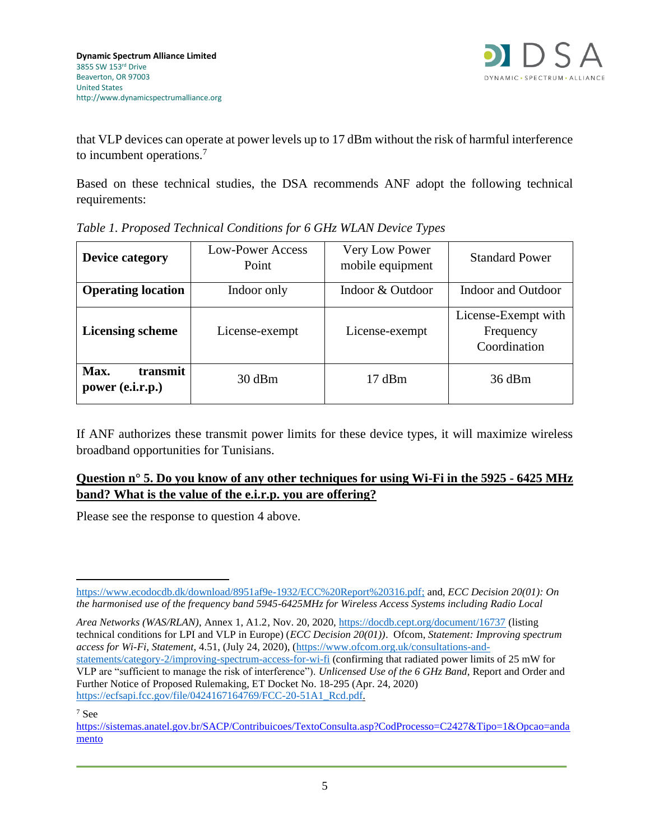

that VLP devices can operate at power levels up to 17 dBm without the risk of harmful interference to incumbent operations.<sup>7</sup>

Based on these technical studies, the DSA recommends ANF adopt the following technical requirements:

| <b>Device category</b>               | Low-Power Access<br>Point | Very Low Power<br>mobile equipment | <b>Standard Power</b>                            |
|--------------------------------------|---------------------------|------------------------------------|--------------------------------------------------|
| <b>Operating location</b>            | Indoor only               | Indoor & Outdoor                   | Indoor and Outdoor                               |
| <b>Licensing scheme</b>              | License-exempt            | License-exempt                     | License-Exempt with<br>Frequency<br>Coordination |
| Max.<br>transmit<br>power (e.i.r.p.) | 30 dBm                    | $17 \text{ dBm}$                   | $36$ dBm                                         |

*Table 1. Proposed Technical Conditions for 6 GHz WLAN Device Types*

If ANF authorizes these transmit power limits for these device types, it will maximize wireless broadband opportunities for Tunisians.

## **Question n° 5. Do you know of any other techniques for using Wi-Fi in the 5925 - 6425 MHz band? What is the value of the e.i.r.p. you are offering?**

Please see the response to question 4 above.

*Area Networks (WAS/RLAN)*, Annex 1, A1.2, Nov. 20, 2020,<https://docdb.cept.org/document/16737> (listing technical conditions for LPI and VLP in Europe) (*ECC Decision 20(01))*. Ofcom, *Statement: Improving spectrum access for Wi-Fi, Statement*, 4.51, (July 24, 2020), [\(https://www.ofcom.org.uk/consultations-and](https://www.ofcom.org.uk/consultations-and-statements/category-2/improving-spectrum-access-for-wi-fi)[statements/category-2/improving-spectrum-access-for-wi-fi](https://www.ofcom.org.uk/consultations-and-statements/category-2/improving-spectrum-access-for-wi-fi) (confirming that radiated power limits of 25 mW for VLP are "sufficient to manage the risk of interference"). *Unlicensed Use of the 6 GHz Band*, Report and Order and Further Notice of Proposed Rulemaking, ET Docket No. 18-295 (Apr. 24, 2020) [https://ecfsapi.fcc.gov/file/0424167164769/FCC-20-51A1\\_Rcd.pdf.](https://ecfsapi.fcc.gov/file/0424167164769/FCC-20-51A1_Rcd.pdf)

<sup>7</sup> See

[https://www.ecodocdb.dk/download/8951af9e-1932/ECC%20Report%20316.pdf;](https://www.ecodocdb.dk/download/8951af9e-1932/ECC%20Report%20316.pdf) and, *ECC Decision 20(01): On the harmonised use of the frequency band 5945-6425MHz for Wireless Access Systems including Radio Local*

[https://sistemas.anatel.gov.br/SACP/Contribuicoes/TextoConsulta.asp?CodProcesso=C2427&Tipo=1&Opcao=anda](https://sistemas.anatel.gov.br/SACP/Contribuicoes/TextoConsulta.asp?CodProcesso=C2427&Tipo=1&Opcao=andamento) [mento](https://sistemas.anatel.gov.br/SACP/Contribuicoes/TextoConsulta.asp?CodProcesso=C2427&Tipo=1&Opcao=andamento)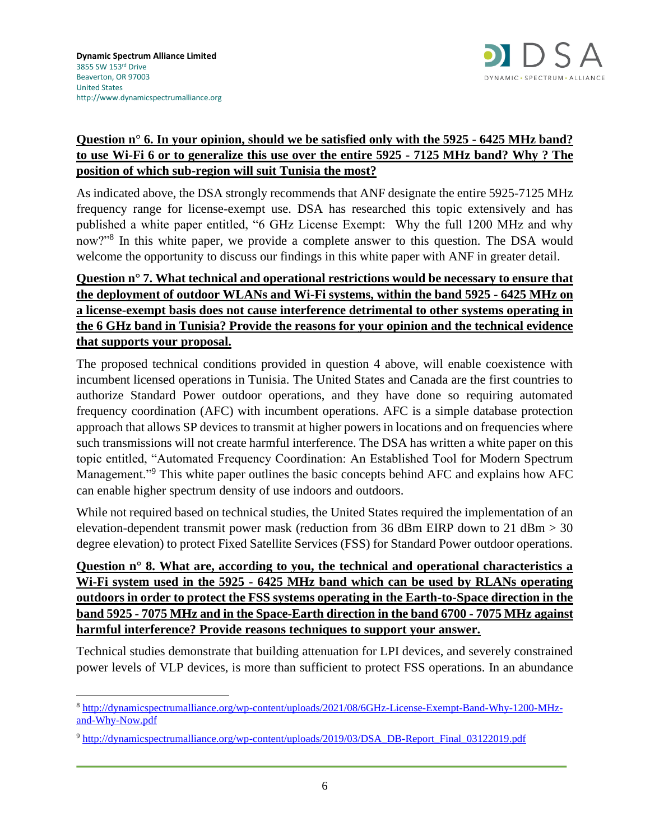

### **Question n° 6. In your opinion, should we be satisfied only with the 5925 - 6425 MHz band? to use Wi-Fi 6 or to generalize this use over the entire 5925 - 7125 MHz band? Why ? The position of which sub-region will suit Tunisia the most?**

As indicated above, the DSA strongly recommends that ANF designate the entire 5925-7125 MHz frequency range for license-exempt use. DSA has researched this topic extensively and has published a white paper entitled, "6 GHz License Exempt: Why the full 1200 MHz and why now?"<sup>8</sup> In this white paper, we provide a complete answer to this question. The DSA would welcome the opportunity to discuss our findings in this white paper with ANF in greater detail.

# **Question n° 7. What technical and operational restrictions would be necessary to ensure that the deployment of outdoor WLANs and Wi-Fi systems, within the band 5925 - 6425 MHz on a license-exempt basis does not cause interference detrimental to other systems operating in the 6 GHz band in Tunisia? Provide the reasons for your opinion and the technical evidence that supports your proposal.**

The proposed technical conditions provided in question 4 above, will enable coexistence with incumbent licensed operations in Tunisia. The United States and Canada are the first countries to authorize Standard Power outdoor operations, and they have done so requiring automated frequency coordination (AFC) with incumbent operations. AFC is a simple database protection approach that allows SP devices to transmit at higher powers in locations and on frequencies where such transmissions will not create harmful interference. The DSA has written a white paper on this topic entitled, "Automated Frequency Coordination: An Established Tool for Modern Spectrum Management."<sup>9</sup> This white paper outlines the basic concepts behind AFC and explains how AFC can enable higher spectrum density of use indoors and outdoors.

While not required based on technical studies, the United States required the implementation of an elevation-dependent transmit power mask (reduction from 36 dBm EIRP down to 21 dBm  $>$  30 degree elevation) to protect Fixed Satellite Services (FSS) for Standard Power outdoor operations.

# **Question n° 8. What are, according to you, the technical and operational characteristics a Wi-Fi system used in the 5925 - 6425 MHz band which can be used by RLANs operating outdoors in order to protect the FSS systems operating in the Earth-to-Space direction in the band 5925 - 7075 MHz and in the Space-Earth direction in the band 6700 - 7075 MHz against harmful interference? Provide reasons techniques to support your answer.**

Technical studies demonstrate that building attenuation for LPI devices, and severely constrained power levels of VLP devices, is more than sufficient to protect FSS operations. In an abundance

<sup>8</sup> [http://dynamicspectrumalliance.org/wp-content/uploads/2021/08/6GHz-License-Exempt-Band-Why-1200-MHz](http://dynamicspectrumalliance.org/wp-content/uploads/2021/08/6GHz-License-Exempt-Band-Why-1200-MHz-and-Why-Now.pdf)[and-Why-Now.pdf](http://dynamicspectrumalliance.org/wp-content/uploads/2021/08/6GHz-License-Exempt-Band-Why-1200-MHz-and-Why-Now.pdf)

<sup>9</sup> [http://dynamicspectrumalliance.org/wp-content/uploads/2019/03/DSA\\_DB-Report\\_Final\\_03122019.pdf](http://dynamicspectrumalliance.org/wp-content/uploads/2019/03/DSA_DB-Report_Final_03122019.pdf)